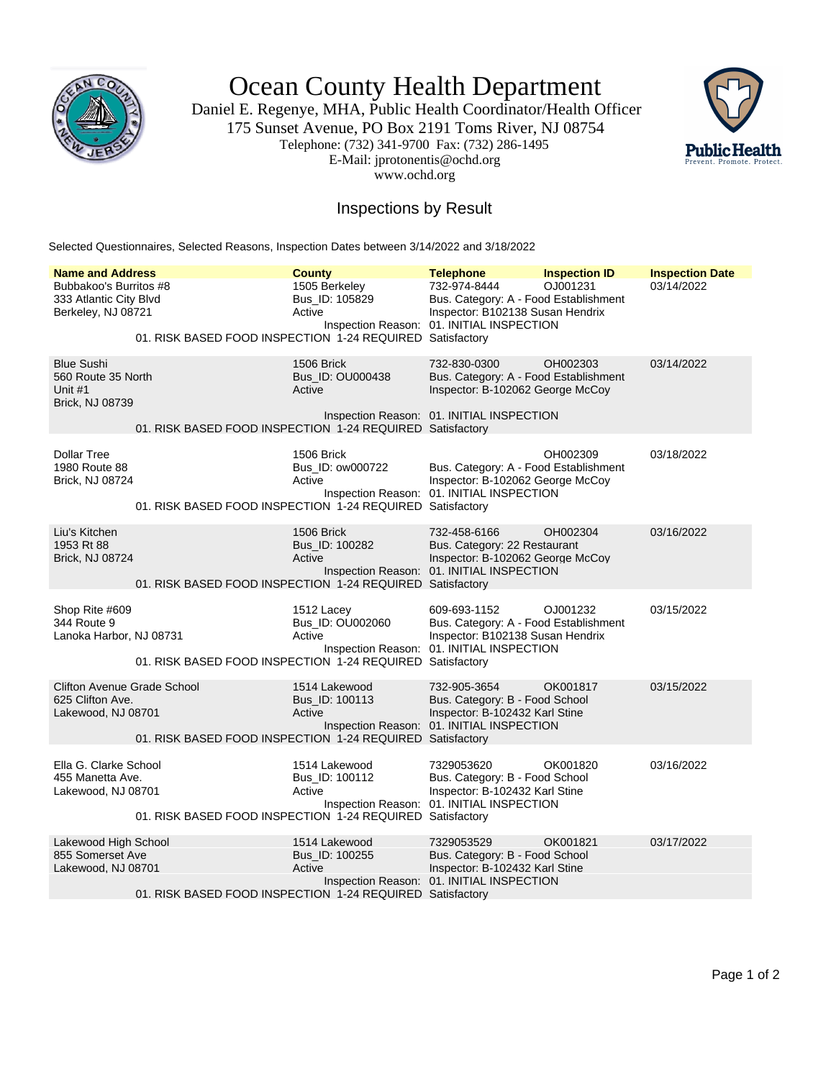

Ocean County Health Department

Daniel E. Regenye, MHA, Public Health Coordinator/Health Officer 175 Sunset Avenue, PO Box 2191 Toms River, NJ 08754 Telephone: (732) 341-9700 Fax: (732) 286-1495 E-Mail: jprotonentis@ochd.org www.ochd.org



## Inspections by Result

Selected Questionnaires, Selected Reasons, Inspection Dates between 3/14/2022 and 3/18/2022

| <b>Name and Address</b>                                                                                                                   | <b>County</b>                             | <b>Telephone</b>                                                                                                                       | <b>Inspection ID</b> | <b>Inspection Date</b> |  |  |
|-------------------------------------------------------------------------------------------------------------------------------------------|-------------------------------------------|----------------------------------------------------------------------------------------------------------------------------------------|----------------------|------------------------|--|--|
| Bubbakoo's Burritos #8<br>333 Atlantic City Blvd<br>Berkeley, NJ 08721<br>01. RISK BASED FOOD INSPECTION 1-24 REQUIRED Satisfactory       | 1505 Berkeley<br>Bus_ID: 105829<br>Active | 732-974-8444<br>Bus. Category: A - Food Establishment<br>Inspector: B102138 Susan Hendrix<br>Inspection Reason: 01. INITIAL INSPECTION | OJ001231             | 03/14/2022             |  |  |
| <b>Blue Sushi</b><br>560 Route 35 North<br>Unit $#1$<br>Brick, NJ 08739                                                                   | 1506 Brick<br>Bus_ID: OU000438<br>Active  | 732-830-0300<br>Bus. Category: A - Food Establishment<br>Inspector: B-102062 George McCoy<br>Inspection Reason: 01. INITIAL INSPECTION | OH002303             | 03/14/2022             |  |  |
| 01. RISK BASED FOOD INSPECTION 1-24 REQUIRED Satisfactory                                                                                 |                                           |                                                                                                                                        |                      |                        |  |  |
| <b>Dollar Tree</b><br>1980 Route 88<br>Brick, NJ 08724<br>01. RISK BASED FOOD INSPECTION 1-24 REQUIRED Satisfactory                       | 1506 Brick<br>Bus_ID: ow000722<br>Active  | Bus. Category: A - Food Establishment<br>Inspector: B-102062 George McCoy<br>Inspection Reason: 01. INITIAL INSPECTION                 | OH002309             | 03/18/2022             |  |  |
| Liu's Kitchen<br>1953 Rt 88<br>Brick, NJ 08724<br>01. RISK BASED FOOD INSPECTION 1-24 REQUIRED Satisfactory                               | 1506 Brick<br>Bus_ID: 100282<br>Active    | 732-458-6166<br>Bus. Category: 22 Restaurant<br>Inspector: B-102062 George McCoy<br>Inspection Reason: 01. INITIAL INSPECTION          | OH002304             | 03/16/2022             |  |  |
| Shop Rite #609<br>344 Route 9<br>Lanoka Harbor, NJ 08731<br>01. RISK BASED FOOD INSPECTION 1-24 REQUIRED Satisfactory                     | 1512 Lacey<br>Bus_ID: OU002060<br>Active  | 609-693-1152<br>Bus. Category: A - Food Establishment<br>Inspector: B102138 Susan Hendrix<br>Inspection Reason: 01. INITIAL INSPECTION | OJ001232             | 03/15/2022             |  |  |
| <b>Clifton Avenue Grade School</b><br>625 Clifton Ave.<br>Lakewood, NJ 08701<br>01. RISK BASED FOOD INSPECTION 1-24 REQUIRED Satisfactory | 1514 Lakewood<br>Bus_ID: 100113<br>Active | 732-905-3654<br>Bus. Category: B - Food School<br>Inspector: B-102432 Karl Stine<br>Inspection Reason: 01. INITIAL INSPECTION          | OK001817             | 03/15/2022             |  |  |
| Ella G. Clarke School<br>455 Manetta Ave.<br>Lakewood, NJ 08701<br>01. RISK BASED FOOD INSPECTION 1-24 REQUIRED Satisfactory              | 1514 Lakewood<br>Bus_ID: 100112<br>Active | 7329053620<br>Bus. Category: B - Food School<br>Inspector: B-102432 Karl Stine<br>Inspection Reason: 01. INITIAL INSPECTION            | OK001820             | 03/16/2022             |  |  |
| Lakewood High School<br>855 Somerset Ave<br>Lakewood, NJ 08701<br>01. RISK BASED FOOD INSPECTION 1-24 REQUIRED Satisfactory               | 1514 Lakewood<br>Bus ID: 100255<br>Active | 7329053529<br>Bus. Category: B - Food School<br>Inspector: B-102432 Karl Stine<br>Inspection Reason: 01. INITIAL INSPECTION            | OK001821             | 03/17/2022             |  |  |